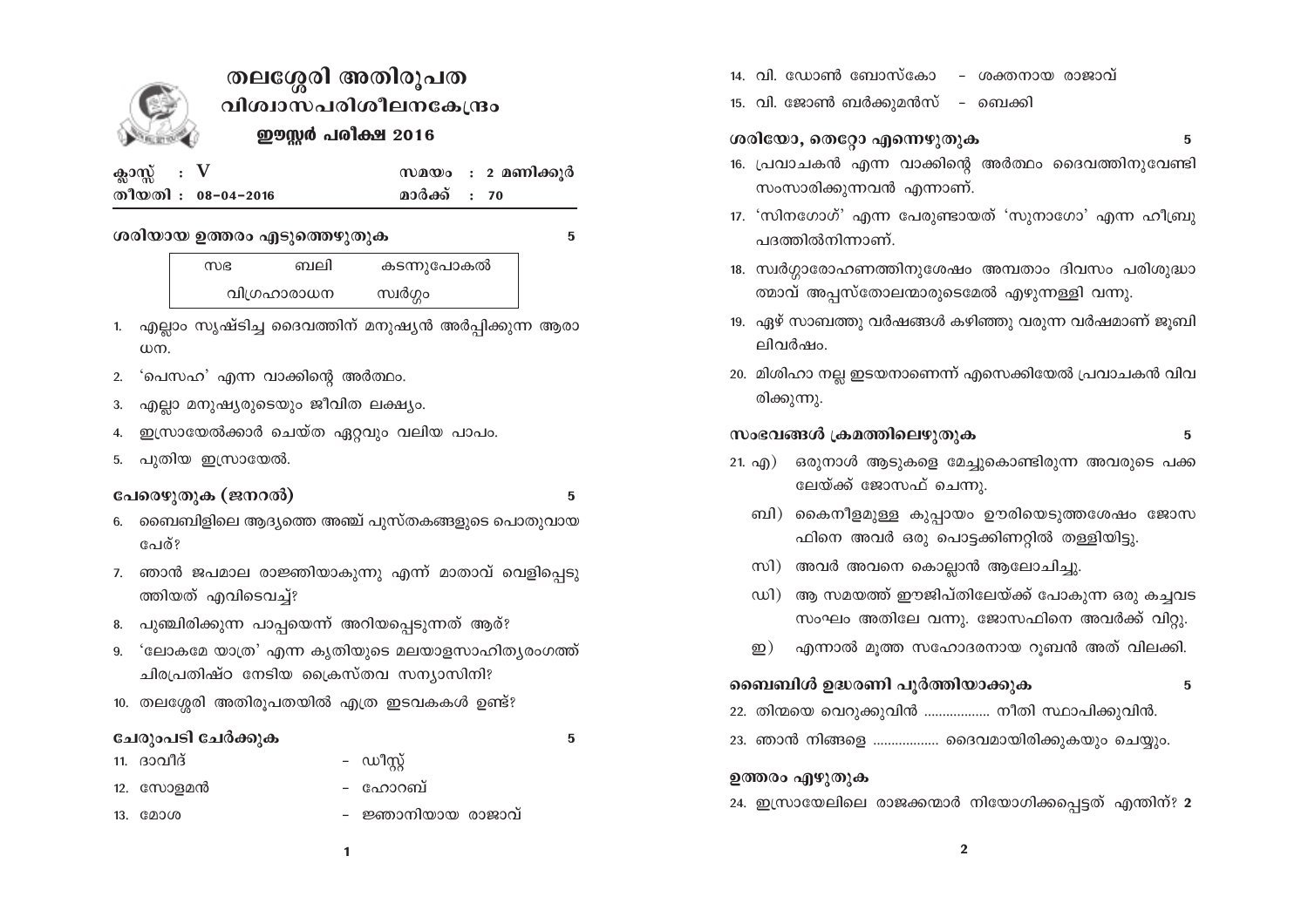

# തലശ്ശേരി അതിരൂപത വിശ്വാസപരിശീലനകേന്ദ്രം ഈസ്റ്റർ പരീക്ഷ 2016

| ക്ലാസ്സ്: $V$ |                    |
|---------------|--------------------|
|               | തീയതി : 08-04-2016 |

സമയം : 2 മണിക്കുർ മാർക്ക് : 70

#### ശരിയായ ഉത്തരം എടുത്തെഴുതുക

5

കടന്നുപോകൽ സഭ ബലി വിഗ്രഹാരാധന സ്വർഗ്ഗം

- 1. എല്ലാം സൃഷ്ടിച്ച ദൈവത്തിന് മനുഷ്യൻ അർപ്പിക്കുന്ന ആരാ  $\omega$ m.
- 2. 'പെസഹ' എന്ന വാക്കിന്റെ അർത്ഥം.
- എല്ലാ മനുഷ്യരുടെയും ജീവിത ലക്ഷ്യം. 3.
- ഇസ്രായേൽക്കാർ ചെയ്ത ഏറ്റവും വലിയ പാപം.  $\overline{4}$ .
- പൂതിയ ഇസ്രായേൽ. 5.

#### പേരെഴുതുക (ജനറൽ)

5

5

- 6. ബൈബിളിലെ ആദ്യത്തെ അഞ്ച് പുസ്തകങ്ങളുടെ പൊതുവായ പേര്?
- 7. ഞാൻ ജപമാല രാജ്ഞിയാകുന്നു എന്ന് മാതാവ് വെളിപ്പെടു ത്തിയത് എവിടെവച്ച്?
- 8. പുഞ്ചിരിക്കുന്ന പാപ്പയെന്ന് അറിയപ്പെടുന്നത് ആര്?
- 9. 'ലോകമേ യാത്ര' എന്ന കൃതിയുടെ മലയാളസാഹിത്യരംഗത്ത് ചിരപ്രതിഷ്ഠ നേടിയ ക്രൈസ്തവ സന്യാസിനി?
- 10. തലശ്ശേരി അതിരൂപതയിൽ എത്ര ഇടവകകൾ ഉണ്ട്?

#### ചേരുംപടി ചേർക്കുക

- ഡീസ്റ്റ് 11. ദാവീദ് – ഹോറബ് 12. സോളമൻ 13. മോശ
	- ജ്ഞാനിയായ രാജാവ്
- 14. വി. ഡോൺ ബോസ്കോ – ശക്തനായ രാജാവ്
- 15. വി. ജോൺ ബർക്കുമൻസ് ബെക്കി

### ശരിയോ, തെറ്റോ എന്നെഴുതുക

- $5\phantom{.0}$
- 16. പ്രവാചകൻ എന്ന വാക്കിന്റെ അർത്ഥം ദൈവത്തിനുവേണ്ടി സംസാരിക്കുന്നവൻ എന്നാണ്.
- 17. 'സിനഗോഗ്' എന്ന പേരുണ്ടായത് 'സുനാഗോ' എന്ന ഹീബ്രു പദത്തിൽനിന്നാണ്.
- 18. സ്വർഗ്ഗാരോഹണത്തിനുശേഷം അമ്പതാം ദിവസം പരിശുദ്ധാ ത്മാവ് അപ്പസ്തോലന്മാരുടെമേൽ എഴുന്നള്ളി വന്നു.
- 19. ഏഴ് സാബത്തു വർഷങ്ങൾ കഴിഞ്ഞു വരുന്ന വർഷമാണ് ജുബി ലിവർഷം.
- 20. മിശിഹാ നല്ല ഇടയനാണെന്ന് എസെക്കിയേൽ പ്രവാചകൻ വിവ രിക്കുന്നു.

#### സംഭവങ്ങൾ ക്രമത്തിലെഴുതുക

#### 5

- ഒരുനാൾ ആടുകളെ മേച്ചുകൊണ്ടിരുന്ന അവരുടെ പക്ക 21.  $\alpha(\beta)$ ലേയ്ക്ക് ജോസഫ് ചെന്നു.
	- ബി) കൈനീളമുള്ള കുപ്പായം ഊരിയെടുത്തശേഷം ജോസ ഫിനെ അവർ ഒരു പൊട്ടക്കിണറ്റിൽ തള്ളിയിട്ടു.
	- സി) അവർ അവനെ കൊല്ലാൻ ആലോചിച്ചു.
	- ഡി) ആ സമയത്ത് ഈജിപ്തിലേയ്ക്ക് പോകുന്ന ഒരു കച്ചവട സംഘം അതിലേ വന്നു. ജോസഫിനെ അവർക്ക് വിറ്റു.
	- എന്നാൽ മൂത്ത സഹോദരനായ റൂബൻ അത് വിലക്കി. ഇ $)$

## ബൈബിൾ ഉദ്ധരണി പൂർത്തിയാക്കുക

5

- 22. തിന്മയെ വെറുക്കുവിൻ .................. നീതി സ്ഥാപിക്കുവിൻ.
- 23. ഞാൻ നിങ്ങളെ .................. ദൈവമായിരിക്കുകയും ചെയ്യും.

#### ഉത്തരം എഴുതുക

24. ഇസ്രായേലിലെ രാജക്കന്മാർ നിയോഗിക്കപ്പെട്ടത് എന്തിന്? 2